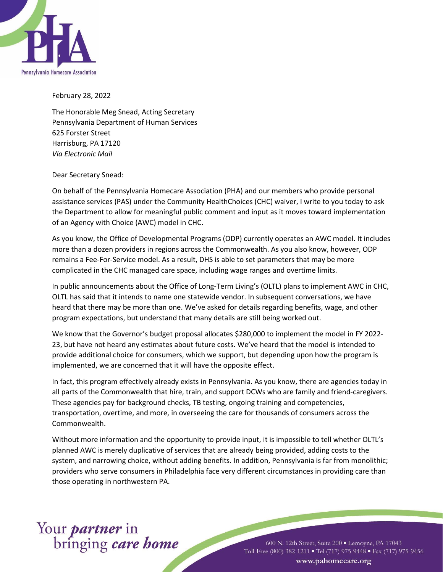

February 28, 2022

The Honorable Meg Snead, Acting Secretary Pennsylvania Department of Human Services 625 Forster Street Harrisburg, PA 17120 *Via Electronic Mail*

Dear Secretary Snead:

On behalf of the Pennsylvania Homecare Association (PHA) and our members who provide personal assistance services (PAS) under the Community HealthChoices (CHC) waiver, I write to you today to ask the Department to allow for meaningful public comment and input as it moves toward implementation of an Agency with Choice (AWC) model in CHC.

As you know, the Office of Developmental Programs (ODP) currently operates an AWC model. It includes more than a dozen providers in regions across the Commonwealth. As you also know, however, ODP remains a Fee-For-Service model. As a result, DHS is able to set parameters that may be more complicated in the CHC managed care space, including wage ranges and overtime limits.

In public announcements about the Office of Long-Term Living's (OLTL) plans to implement AWC in CHC, OLTL has said that it intends to name one statewide vendor. In subsequent conversations, we have heard that there may be more than one. We've asked for details regarding benefits, wage, and other program expectations, but understand that many details are still being worked out.

We know that the Governor's budget proposal allocates \$280,000 to implement the model in FY 2022- 23, but have not heard any estimates about future costs. We've heard that the model is intended to provide additional choice for consumers, which we support, but depending upon how the program is implemented, we are concerned that it will have the opposite effect.

In fact, this program effectively already exists in Pennsylvania. As you know, there are agencies today in all parts of the Commonwealth that hire, train, and support DCWs who are family and friend-caregivers. These agencies pay for background checks, TB testing, ongoing training and competencies, transportation, overtime, and more, in overseeing the care for thousands of consumers across the Commonwealth.

Without more information and the opportunity to provide input, it is impossible to tell whether OLTL's planned AWC is merely duplicative of services that are already being provided, adding costs to the system, and narrowing choice, without adding benefits. In addition, Pennsylvania is far from monolithic; providers who serve consumers in Philadelphia face very different circumstances in providing care than those operating in northwestern PA.

## Your *partner* in<br>bringing *care home*

600 N. 12th Street, Suite 200 · Lemoyne, PA 17043 Toll-Free (800) 382-1211 • Tel (717) 975-9448 • Fax (717) 975-9456 www.pahomecare.org